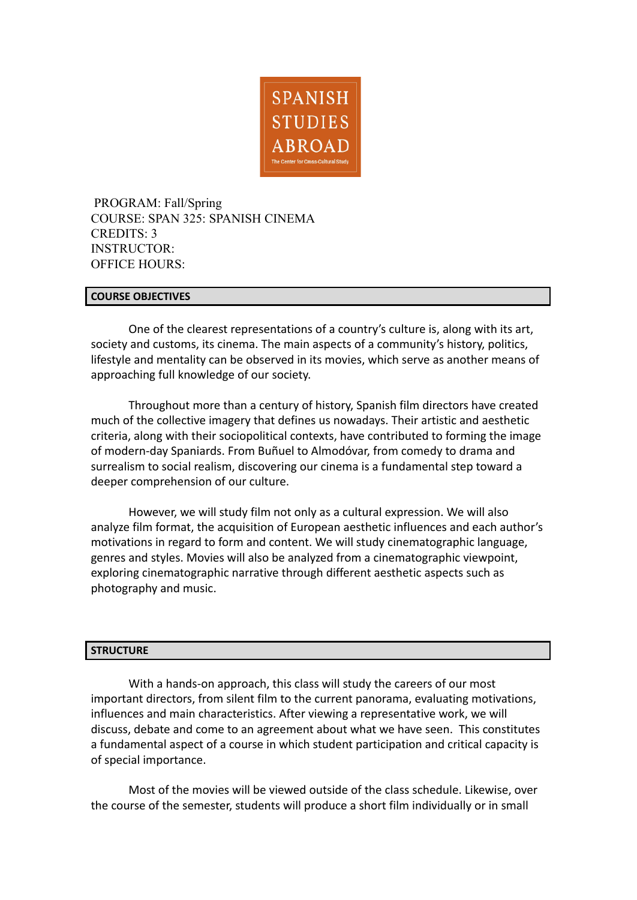

PROGRAM: Fall/Spring COURSE: SPAN 325: SPANISH CINEMA CREDITS: 3 INSTRUCTOR: OFFICE HOURS:

## **COURSE OBJECTIVES**

One of the clearest representations of a country's culture is, along with its art, society and customs, its cinema. The main aspects of a community's history, politics, lifestyle and mentality can be observed in its movies, which serve as another means of approaching full knowledge of our society.

Throughout more than a century of history, Spanish film directors have created much of the collective imagery that defines us nowadays. Their artistic and aesthetic criteria, along with their sociopolitical contexts, have contributed to forming the image of modern-day Spaniards. From Buñuel to Almodóvar, from comedy to drama and surrealism to social realism, discovering our cinema is a fundamental step toward a deeper comprehension of our culture.

However, we will study film not only as a cultural expression. We will also analyze film format, the acquisition of European aesthetic influences and each author's motivations in regard to form and content. We will study cinematographic language, genres and styles. Movies will also be analyzed from a cinematographic viewpoint, exploring cinematographic narrative through different aesthetic aspects such as photography and music.

#### **STRUCTURE**

With a hands-on approach, this class will study the careers of our most important directors, from silent film to the current panorama, evaluating motivations, influences and main characteristics. After viewing a representative work, we will discuss, debate and come to an agreement about what we have seen. This constitutes a fundamental aspect of a course in which student participation and critical capacity is of special importance.

Most of the movies will be viewed outside of the class schedule. Likewise, over the course of the semester, students will produce a short film individually or in small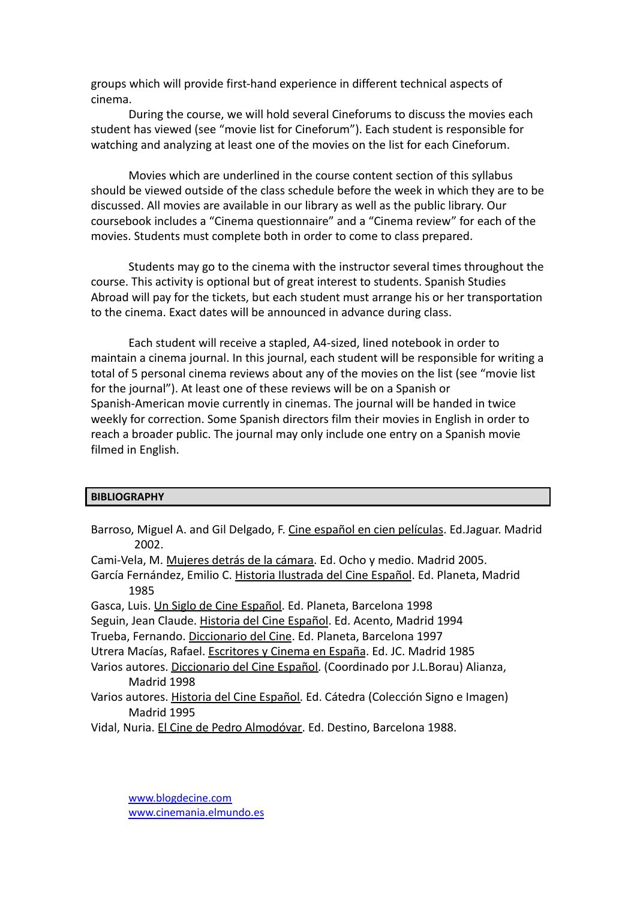groups which will provide first-hand experience in different technical aspects of cinema.

During the course, we will hold several Cineforums to discuss the movies each student has viewed (see "movie list for Cineforum"). Each student is responsible for watching and analyzing at least one of the movies on the list for each Cineforum.

Movies which are underlined in the course content section of this syllabus should be viewed outside of the class schedule before the week in which they are to be discussed. All movies are available in our library as well as the public library. Our coursebook includes a "Cinema questionnaire" and a "Cinema review" for each of the movies. Students must complete both in order to come to class prepared.

Students may go to the cinema with the instructor several times throughout the course. This activity is optional but of great interest to students. Spanish Studies Abroad will pay for the tickets, but each student must arrange his or her transportation to the cinema. Exact dates will be announced in advance during class.

Each student will receive a stapled, A4-sized, lined notebook in order to maintain a cinema journal. In this journal, each student will be responsible for writing a total of 5 personal cinema reviews about any of the movies on the list (see "movie list for the journal"). At least one of these reviews will be on a Spanish or Spanish-American movie currently in cinemas. The journal will be handed in twice weekly for correction. Some Spanish directors film their movies in English in order to reach a broader public. The journal may only include one entry on a Spanish movie filmed in English.

## **BIBLIOGRAPHY**

Barroso, Miguel A. and Gil Delgado, F. Cine español en cien películas. Ed.Jaguar. Madrid 2002.

Cami-Vela, M. Mujeres detrás de la cámara. Ed. Ocho y medio. Madrid 2005.

García Fernández, Emilio C. Historia Ilustrada del Cine Español. Ed. Planeta, Madrid 1985

Gasca, Luis. Un Siglo de Cine Español. Ed. Planeta, Barcelona 1998

- Seguin, Jean Claude. Historia del Cine Español. Ed. Acento, Madrid 1994
- Trueba, Fernando. Diccionario del Cine. Ed. Planeta, Barcelona 1997

Utrera Macías, Rafael. Escritores y Cinema en España. Ed. JC. Madrid 1985

- Varios autores. Diccionario del Cine Español. (Coordinado por J.L.Borau) Alianza, Madrid 1998
- Varios autores. Historia del Cine Español. Ed. Cátedra (Colección Signo e Imagen) Madrid 1995

Vidal, Nuria. El Cine de Pedro Almodóvar. Ed. Destino, Barcelona 1988.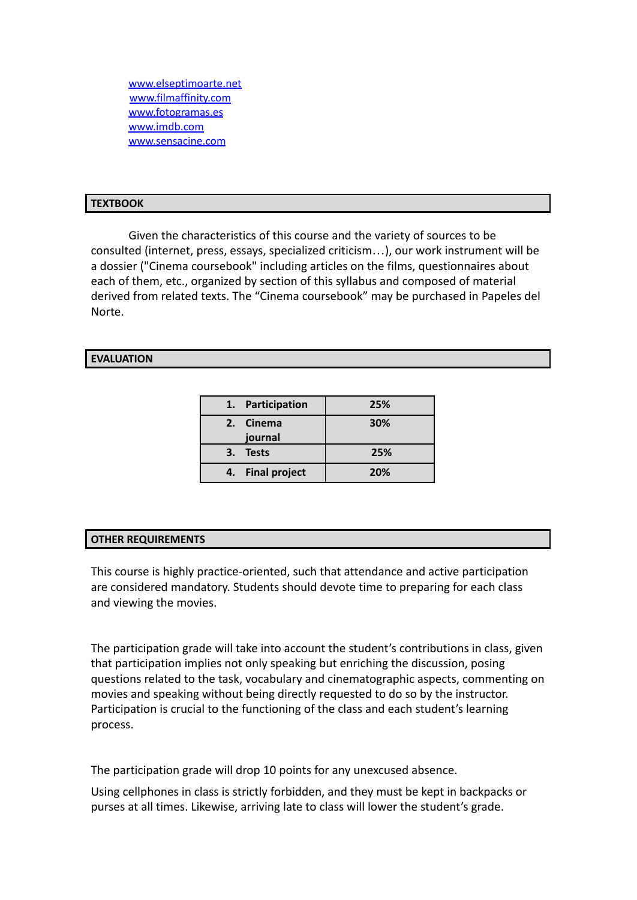[www.elseptimoarte.net](http://www.elseptimoarte.net) [www.filmaffinity.com](http://www.filmaffinity.com) [www.fotogramas.es](http://www.fotogramas.es) [www.imdb.com](http://www.imdb.com) [www.sensacine.com](http://www.sensacine.com)

#### **TEXTBOOK**

Given the characteristics of this course and the variety of sources to be consulted (internet, press, essays, specialized criticism…), our work instrument will be a dossier ("Cinema coursebook" including articles on the films, questionnaires about each of them, etc., organized by section of this syllabus and composed of material derived from related texts. The "Cinema coursebook" may be purchased in Papeles del Norte.

### **EVALUATION**

|    | 1. Participation | 25% |
|----|------------------|-----|
|    | 2. Cinema        | 30% |
|    | journal          |     |
| З. | <b>Tests</b>     | 25% |
|    | 4. Final project | 20% |

## **OTHER REQUIREMENTS**

This course is highly practice-oriented, such that attendance and active participation are considered mandatory. Students should devote time to preparing for each class and viewing the movies.

The participation grade will take into account the student's contributions in class, given that participation implies not only speaking but enriching the discussion, posing questions related to the task, vocabulary and cinematographic aspects, commenting on movies and speaking without being directly requested to do so by the instructor. Participation is crucial to the functioning of the class and each student's learning process.

The participation grade will drop 10 points for any unexcused absence.

Using cellphones in class is strictly forbidden, and they must be kept in backpacks or purses at all times. Likewise, arriving late to class will lower the student's grade.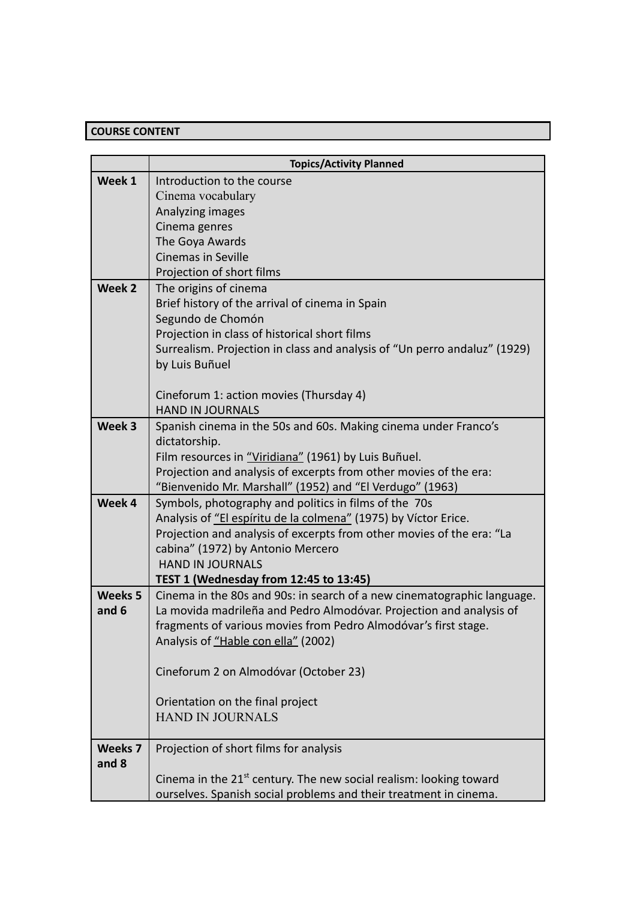# **COURSE CONTENT**

|                | <b>Topics/Activity Planned</b>                                                                                           |
|----------------|--------------------------------------------------------------------------------------------------------------------------|
| Week 1         | Introduction to the course                                                                                               |
|                | Cinema vocabulary                                                                                                        |
|                | Analyzing images                                                                                                         |
|                | Cinema genres                                                                                                            |
|                | The Goya Awards                                                                                                          |
|                | <b>Cinemas in Seville</b>                                                                                                |
|                | Projection of short films                                                                                                |
| Week 2         | The origins of cinema                                                                                                    |
|                | Brief history of the arrival of cinema in Spain                                                                          |
|                | Segundo de Chomón                                                                                                        |
|                | Projection in class of historical short films                                                                            |
|                | Surrealism. Projection in class and analysis of "Un perro andaluz" (1929)                                                |
|                | by Luis Buñuel                                                                                                           |
|                |                                                                                                                          |
|                | Cineforum 1: action movies (Thursday 4)                                                                                  |
|                | <b>HAND IN JOURNALS</b>                                                                                                  |
| Week 3         | Spanish cinema in the 50s and 60s. Making cinema under Franco's                                                          |
|                | dictatorship.                                                                                                            |
|                | Film resources in "Viridiana" (1961) by Luis Buñuel.                                                                     |
|                | Projection and analysis of excerpts from other movies of the era:                                                        |
| Week 4         | "Bienvenido Mr. Marshall" (1952) and "El Verdugo" (1963)                                                                 |
|                | Symbols, photography and politics in films of the 70s<br>Analysis of "El espíritu de la colmena" (1975) by Víctor Erice. |
|                | Projection and analysis of excerpts from other movies of the era: "La                                                    |
|                | cabina" (1972) by Antonio Mercero                                                                                        |
|                | <b>HAND IN JOURNALS</b>                                                                                                  |
|                | TEST 1 (Wednesday from 12:45 to 13:45)                                                                                   |
| Weeks 5        | Cinema in the 80s and 90s: in search of a new cinematographic language.                                                  |
| and 6          | La movida madrileña and Pedro Almodóvar. Projection and analysis of                                                      |
|                | fragments of various movies from Pedro Almodóvar's first stage.                                                          |
|                | Analysis of "Hable con ella" (2002)                                                                                      |
|                |                                                                                                                          |
|                | Cineforum 2 on Almodóvar (October 23)                                                                                    |
|                |                                                                                                                          |
|                | Orientation on the final project                                                                                         |
|                | <b>HAND IN JOURNALS</b>                                                                                                  |
|                |                                                                                                                          |
| <b>Weeks 7</b> | Projection of short films for analysis                                                                                   |
| and 8          |                                                                                                                          |
|                | Cinema in the $21st$ century. The new social realism: looking toward                                                     |
|                | ourselves. Spanish social problems and their treatment in cinema.                                                        |